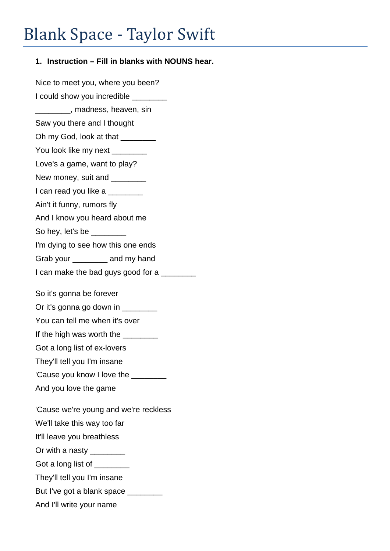## Blank Space - Taylor Swift

## **1. Instruction – Fill in blanks with NOUNS hear.**

Nice to meet you, where you been? I could show you incredible \_\_\_\_\_\_\_ \_\_\_\_\_\_\_\_, madness, heaven, sin Saw you there and I thought Oh my God, look at that \_\_\_\_\_\_\_\_ You look like my next \_\_\_\_\_\_\_\_ Love's a game, want to play? New money, suit and \_\_\_\_\_\_\_ I can read you like a Ain't it funny, rumors fly And I know you heard about me So hey, let's be \_\_\_\_\_\_\_\_\_ I'm dying to see how this one ends Grab your \_\_\_\_\_\_\_\_ and my hand I can make the bad guys good for a So it's gonna be forever Or it's gonna go down in \_\_\_\_\_\_\_\_ You can tell me when it's over If the high was worth the Got a long list of ex-lovers They'll tell you I'm insane 'Cause you know I love the \_\_\_\_\_\_\_ And you love the game 'Cause we're young and we're reckless We'll take this way too far It'll leave you breathless Or with a nasty  $\frac{1}{2}$ Got a long list of \_\_\_\_\_\_\_\_\_ They'll tell you I'm insane But I've got a blank space And I'll write your name